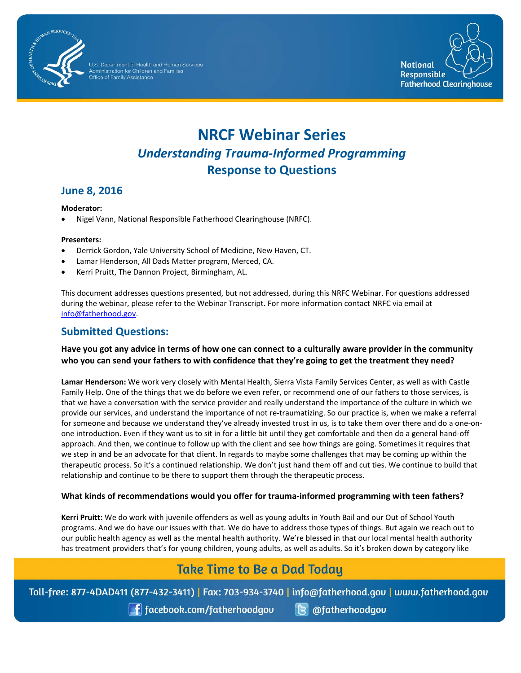

Office of Family Assistance



# **NRCF Webinar Series** *Understanding Trauma-Informed Programming* **Response to Questions**

## **June 8, 2016**

#### **Moderator:**

• Nigel Vann, National Responsible Fatherhood Clearinghouse (NRFC).

#### **Presenters:**

- Derrick Gordon, Yale University School of Medicine, New Haven, CT.
- Lamar Henderson, All Dads Matter program, Merced, CA.
- Kerri Pruitt, The Dannon Project, Birmingham, AL.

This document addresses questions presented, but not addressed, during this NRFC Webinar. For questions addressed during the webinar, please refer to the Webinar Transcript. For more information contact NRFC via email at [info@fatherhood.gov.](mailto:info@fatherhood.gov)

### **Submitted Questions:**

#### **Have you got any advice in terms of how one can connect to a culturally aware provider in the community who you can send your fathers to with confidence that they're going to get the treatment they need?**

**Lamar Henderson:** We work very closely with Mental Health, Sierra Vista Family Services Center, as well as with Castle Family Help. One of the things that we do before we even refer, or recommend one of our fathers to those services, is that we have a conversation with the service provider and really understand the importance of the culture in which we provide our services, and understand the importance of not re-traumatizing. So our practice is, when we make a referral for someone and because we understand they've already invested trust in us, is to take them over there and do a one-onone introduction. Even if they want us to sit in for a little bit until they get comfortable and then do a general hand-off approach. And then, we continue to follow up with the client and see how things are going. Sometimes it requires that we step in and be an advocate for that client. In regards to maybe some challenges that may be coming up within the therapeutic process. So it's a continued relationship. We don't just hand them off and cut ties. We continue to build that relationship and continue to be there to support them through the therapeutic process.

#### **What kinds of recommendations would you offer for trauma-informed programming with teen fathers?**

**Kerri Pruitt:** We do work with juvenile offenders as well as young adults in Youth Bail and our Out of School Youth programs. And we do have our issues with that. We do have to address those types of things. But again we reach out to our public health agency as well as the mental health authority. We're blessed in that our local mental health authority has treatment providers that's for young children, young adults, as well as adults. So it's broken down by category like

## **Take Time to Be a Dad Today**

Toll-free: 877-4DAD411 (877-432-3411) | Fax: 703-934-3740 | info@fatherhood.gov | www.fatherhood.gov

 $\left[\begin{array}{c}\frac{1}{2}\end{array}\right]$  facebook.com/fatherhoodgou

 $\left| \mathbf{G} \right|$  @fatherhoodgou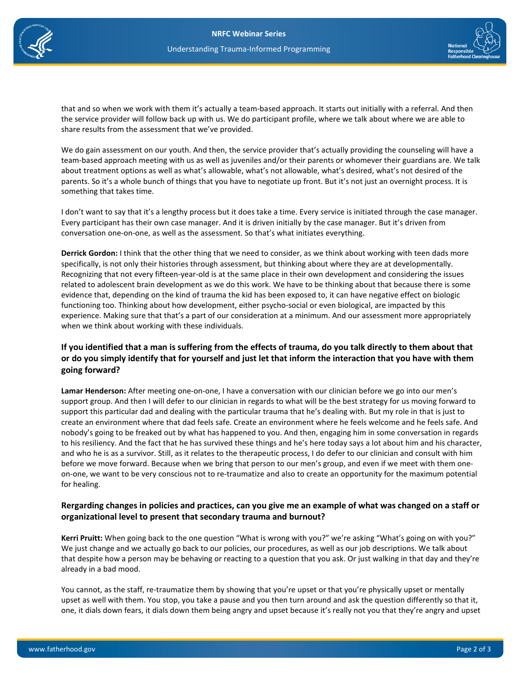



that and so when we work with them it's actually a team-based approach. It starts out initially with a referral. And then the service provider will follow back up with us. We do participant profile, where we talk about where we are able to share results from the assessment that we've provided.

We do gain assessment on our youth. And then, the service provider that's actually providing the counseling will have a team-based approach meeting with us as well as juveniles and/or their parents or whomever their guardians are. We talk about treatment options as well as what's allowable, what's not allowable, what's desired, what's not desired of the parents. So it's a whole bunch of things that you have to negotiate up front. But it's not just an overnight process. It is something that takes time.

I don't want to say that it's a lengthy process but it does take a time. Every service is initiated through the case manager. Every participant has their own case manager. And it is driven initially by the case manager. But it's driven from conversation one-on-one, as well as the assessment. So that's what initiates everything.

**Derrick Gordon:** I think that the other thing that we need to consider, as we think about working with teen dads more specifically, is not only their histories through assessment, but thinking about where they are at developmentally. Recognizing that not every fifteen-year-old is at the same place in their own development and considering the issues related to adolescent brain development as we do this work. We have to be thinking about that because there is some evidence that, depending on the kind of trauma the kid has been exposed to, it can have negative effect on biologic functioning too. Thinking about how development, either psycho-social or even biological, are impacted by this experience. Making sure that that's a part of our consideration at a minimum. And our assessment more appropriately when we think about working with these individuals.

#### **If you identified that a man is suffering from the effects of trauma, do you talk directly to them about that or do you simply identify that for yourself and just let that inform the interaction that you have with them going forward?**

**Lamar Henderson:** After meeting one-on-one, I have a conversation with our clinician before we go into our men's support group. And then I will defer to our clinician in regards to what will be the best strategy for us moving forward to support this particular dad and dealing with the particular trauma that he's dealing with. But my role in that is just to create an environment where that dad feels safe. Create an environment where he feels welcome and he feels safe. And nobody's going to be freaked out by what has happened to you. And then, engaging him in some conversation in regards to his resiliency. And the fact that he has survived these things and he's here today says a lot about him and his character, and who he is as a survivor. Still, as it relates to the therapeutic process, I do defer to our clinician and consult with him before we move forward. Because when we bring that person to our men's group, and even if we meet with them oneon-one, we want to be very conscious not to re-traumatize and also to create an opportunity for the maximum potential for healing.

#### **Rergarding changes in policies and practices, can you give me an example of what was changed on a staff or organizational level to present that secondary trauma and burnout?**

**Kerri Pruitt:** When going back to the one question "What is wrong with you?" we're asking "What's going on with you?" We just change and we actually go back to our policies, our procedures, as well as our job descriptions. We talk about that despite how a person may be behaving or reacting to a question that you ask. Or just walking in that day and they're already in a bad mood.

You cannot, as the staff, re-traumatize them by showing that you're upset or that you're physically upset or mentally upset as well with them. You stop, you take a pause and you then turn around and ask the question differently so that it, one, it dials down fears, it dials down them being angry and upset because it's really not you that they're angry and upset